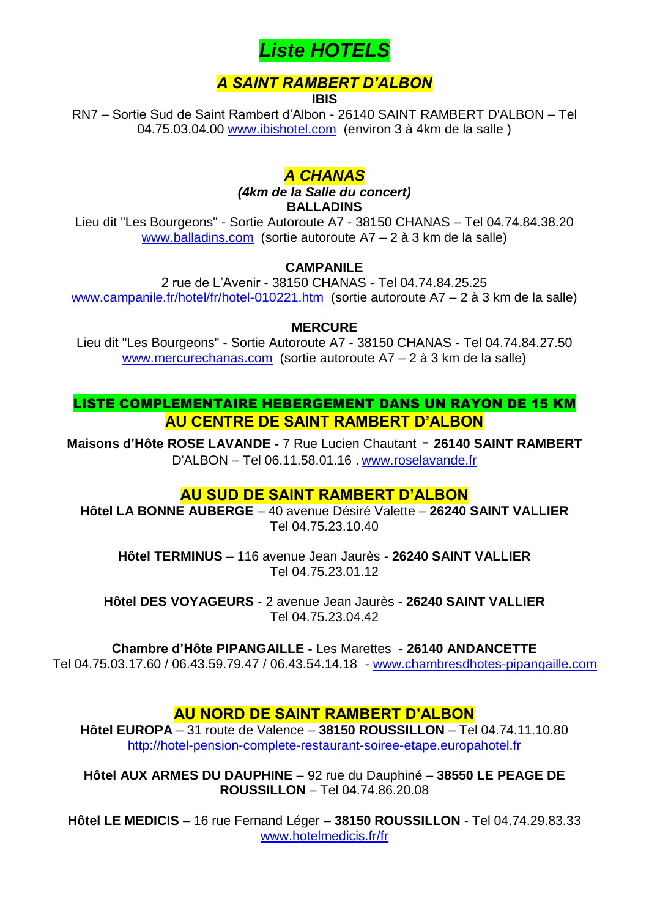

# *A SAINT RAMBERT D'ALBON*

**IBIS**

RN7 – Sortie Sud de Saint Rambert d'Albon - 26140 SAINT RAMBERT D'ALBON – Tel 04.75.03.04.00 [www.ibishotel.com](http://www.ibishotel.com/) (environ 3 à 4km de la salle )

# *A CHANAS*

*(4km de la Salle du concert)* **BALLADINS**

Lieu dit "Les Bourgeons" - Sortie Autoroute A7 - 38150 CHANAS – Tel 04.74.84.38.20 [www.balladins.com](http://www.balladins.com/) (sortie autoroute A7 – 2 à 3 km de la salle)

#### **CAMPANILE**

2 rue de L'Avenir - 38150 CHANAS - Tel 04.74.84.25.25 [www.campanile.fr/hotel/fr/hotel-010221.htm](http://www.campanile.fr/hotel/fr/hotel-010221.htm) (sortie autoroute A7 – 2 à 3 km de la salle)

#### **MERCURE**

Lieu dit "Les Bourgeons" - Sortie Autoroute A7 - 38150 CHANAS - Tel 04.74.84.27.50 [www.mercurechanas.com](http://www.mercurechanas.com/) (sortie autoroute A7 – 2 à 3 km de la salle)

LISTE COMPLEMENTAIRE HEBERGEMENT DANS UN RAYON DE 15 KM **AU CENTRE DE SAINT RAMBERT D'ALBON**

**Maisons d'Hôte ROSE LAVANDE -** 7 Rue Lucien Chautant - **26140 SAINT RAMBERT** D'ALBON – Tel 06.11.58.01.16 . [www.roselavande.fr](http://www.roselavande.fr/)

## **AU SUD DE SAINT RAMBERT D'ALBON**

**Hôtel LA BONNE AUBERGE** – 40 avenue Désiré Valette – **26240 SAINT VALLIER** Tel 04.75.23.10.40

**Hôtel TERMINUS** – 116 avenue Jean Jaurès - **26240 SAINT VALLIER** Tel 04.75.23.01.12

**Hôtel DES VOYAGEURS** - 2 avenue Jean Jaurès - **26240 SAINT VALLIER** Tel 04.75.23.04.42

**Chambre d'Hôte PIPANGAILLE -** Les Marettes - **26140 ANDANCETTE**

Tel 04.75.03.17.60 / 06.43.59.79.47 / 06.43.54.14.18 - [www.chambresdhotes-pipangaille.com](http://www.chambresdhotes-pipangaille.com/)

## **AU NORD DE SAINT RAMBERT D'ALBON**

**Hôtel EUROPA** – 31 route de Valence – **38150 ROUSSILLON** – Tel 04.74.11.10.80 [http://hotel-pension-complete-restaurant-soiree-etape.europahotel.fr](http://hotel-pension-complete-restaurant-soiree-etape.europahotel.fr/)

**Hôtel AUX ARMES DU DAUPHINE** – 92 rue du Dauphiné – **38550 LE PEAGE DE ROUSSILLON** – Tel 04.74.86.20.08

**Hôtel LE MEDICIS** – 16 rue Fernand Léger – **38150 ROUSSILLON** - Tel 04.74.29.83.33 [www.hotelmedicis.fr/fr](http://www.hotelmedicis.fr/fr)